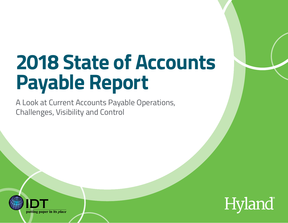### **[2018 State of Accounts](https://www.idt-inc.com)  Payable Report**

A Look at Current Accounts Payable Operations, Challenges, Visibility and Control



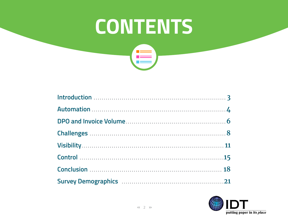## **CONTENTS**  $\mathbf{E}$

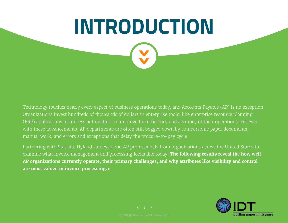### <span id="page-2-0"></span>**INTRODUCTION**

Technology touches nearly every aspect of business operations today, and Accounts Payable (AP) is no exception. Organizations invest hundreds of thousands of dollars in enterprise tools, like enterprise resource planning (ERP) applications or process automation, to improve the efficiency and accuracy of their operations. Yet even with these advancements, AP departments are often still bogged down by cumbersome paper documents, manual work, and errors and exceptions that delay the procure-to-pay cycle.

Partnering with Statista, Hyland surveyed 200 AP professionals from organizations across the United States to examine what invoice management and processing looks like today. **The following results reveal the how well AP organizations currently operate, their primary challenges, and why attributes like visibility and control are most valued in invoice processing. ››**



 $\left\langle 4 \right\rangle$  3  $\left\langle 3 \right\rangle$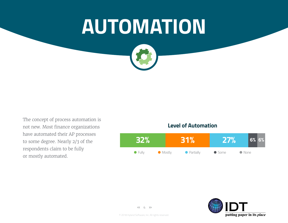### <span id="page-3-0"></span>**AUTOMATION**

The concept of process automation is not new. Most finance organizations have automated their AP processes to some degree. Nearly 2/3 of the respondents claim to be fully or mostly automated.

#### **32% 31% 27% 6% 6%** ● Fully ● Mostly ● Partially ● Some ● None **Level of Automation**



 $<<$  4 >>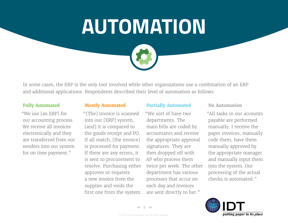### **AUTOMATION**



In some cases, the ERP is the only tool involved while other organizations use a combination of an ERP and additional applications. Respondents described their level of automation as follows:

#### **Fully Automated**

"We use [an ERP] for our accounting process. We receive all invoices electronically and they are transferred from our vendors into our system for on time payment."

#### **Mostly Automated**

"[The] invoice is scanned into our [ERP] system, [and] it is compared to the goods receipt and PO. If all match, [the invoice] is processed for payment. If there are any errors, it is sent to procurement to resolve. Purchasing either approves or requests a new invoice from the supplier and voids the first one from the system.

#### **Partially Automated**

"We sort of have two departments. The main bills are coded by accountants and receive the appropriate approval signatures. They are then dropped off with AP who process them twice per week. The other department has various processes that occur on each day and invoices are sent directly to her."

#### **No Automation**

"All tasks in our accounts payable are performed manually. I receive the paper invoices, manually code them, have them manually approved by the appropriate manager and manually input them into the system. Our processing of the actual checks is automated."

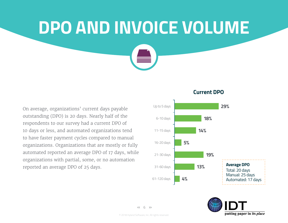# <span id="page-5-0"></span>**DPO AND INVOICE VOLUME**

On average, organizations' current days payable outstanding (DPO) is 20 days. Nearly half of the respondents to our survey had a current DPO of 10 days or less, and automated organizations tend to have faster payment cycles compared to manual organizations. Organizations that are mostly or fully automated reported an average DPO of 17 days, while organizations with partial, some, or no automation reported an average DPO of 25 days.

#### **Current DPO**



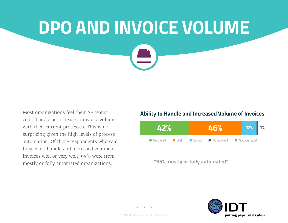## **DPO AND INVOICE VOLUME**

Most organizations feel their AP teams could handle an increase in invoice volume with their current processes. This is not surprising given the high levels of process automation. Of those respondents who said they could handle and increased volume of invoices well or very well, 95% were from mostly or fully automated organizations.

#### **Ability to Handle and Increased Volume of Invoices**



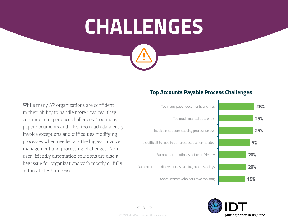### <span id="page-7-0"></span>**CHALLENGES**

While many AP organizations are confident in their ability to handle more invoices, they continue to experience challenges. Too many paper documents and files, too much data entry, invoice exceptions and difficulties modifying processes when needed are the biggest invoice management and processing challenges. Non user-friendly automation solutions are also a key issue for organizations with mostly or fully automated AP processes.

#### **Top Accounts Payable Process Challenges**





© 2018 Hyland Software, Inc. All rights reserved.  $\left\langle \left\langle 8 \right\rangle \right\rangle$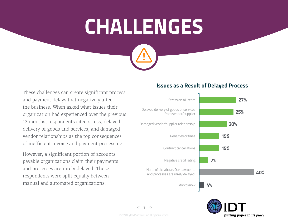### **CHALLENGES**

These challenges can create significant process and payment delays that negatively affect the business. When asked what issues their organization had experienced over the previous 12 months, respondents cited stress, delayed delivery of goods and services, and damaged vendor relationships as the top consequences of inefficient invoice and payment processing.

However, a significant portion of accounts payable organizations claim their payments and processes are rarely delayed. Those respondents were split equally between manual and automated organizations.

#### **Issues as a Result of Delayed Process**





 $<<$  9 >>

© 2018 Hyland Software, Inc. All rights reserved.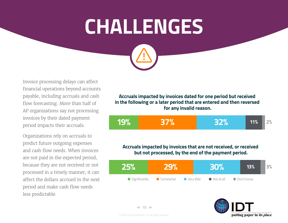### **CHALLENGES**

Invoice processing delays can affect financial operations beyond accounts payable, including accruals and cash flow forecasting. More than half of AP organizations say not processing invoices by their dated payment period impacts their accruals.

Organizations rely on accruals to predict future outgoing expenses and cash flow needs. When invoices are not paid in the expected period, because they are not received or not processed in a timely manner, it can affect the dollars accrued in the next period and make cash flow needs less predictable.

**Accruals impacted by invoices dated for one period but received in the following or a later period that are entered and then reversed for any invalid reason.**

$$
\begin{array}{c|c|c|c|c|c|c|c|c} \hline \textbf{32\%} & \textbf{32\%} & \textbf{32\%} & \textbf{32\%} & \textbf{32\%} & \textbf{32\%} & \textbf{32\%} & \textbf{32\%} & \textbf{32\%} & \textbf{32\%} & \textbf{32\%} & \textbf{32\%} & \textbf{32\%} & \textbf{32\%} & \textbf{32\%} & \textbf{32\%} & \textbf{32\%} & \textbf{32\%} & \textbf{32\%} & \textbf{32\%} & \textbf{32\%} & \textbf{32\%} & \textbf{32\%} & \textbf{32\%} & \textbf{32\%} & \textbf{32\%} & \textbf{32\%} & \textbf{32\%} & \textbf{32\%} & \textbf{32\%} & \textbf{32\%} & \textbf{32\%} & \textbf{32\%} & \textbf{32\%} & \textbf{32\%} & \textbf{32\%} & \textbf{32\%} & \textbf{32\%} & \textbf{32\%} & \textbf{32\%} & \textbf{32\%} & \textbf{32\%} & \textbf{32\%} & \textbf{32\%} & \textbf{32\%} & \textbf{32\%} & \textbf{32\%} & \textbf{32\%} & \textbf{32\%} & \textbf{32\%} & \textbf{32\%} & \textbf{32\%} & \textbf{32\%} & \textbf{32\%} & \textbf{32\%} & \textbf{32\%} & \textbf{32\%} & \textbf{32\%} & \textbf{32\%} & \textbf{32\%} & \textbf{32\%} & \textbf{32\%} & \textbf{32\%} & \textbf{32\%} & \textbf{32\%} & \textbf{32\%} & \textbf{32\%} & \textbf{32\%} & \textbf{32\%} & \textbf{32\%} & \textbf{32\%} & \textbf{32\%} & \textbf{32\%} & \textbf{
$$

#### **Accruals impacted by invoices that are not received, or received but not processed, by the end of the payment period.**



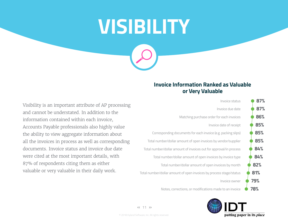# <span id="page-10-0"></span>**VISIBILITY**

#### **Invoice Information Ranked as Valuable or Very Valuable**





Visibility is an important attribute of AP processing and cannot be understated. In addition to the information contained within each invoice, Accounts Payable professionals also highly value the ability to view aggregate information about all the invoices in process as well as corresponding documents. Invoice status and invoice due date were cited at the most important details, with 87% of respondents citing them as either valuable or very valuable in their daily work.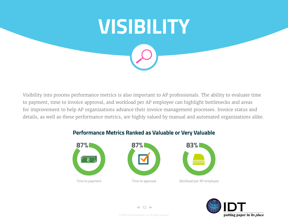

Visibility into process performance metrics is also important to AP professionals. The ability to evaluate time to payment, time to invoice approval, and workload per AP employee can highlight bottlenecks and areas for improvement to help AP organizations advance their invoice management processes. Invoice status and details, as well as these performance metrics, are highly valued by manual and automated organizations alike.

**Performance Metrics Ranked as Valuable or Very Valuable**





Workload per AP employee



 $< 12$  >>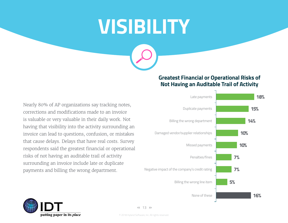### **VISIBILITY**

Nearly 80% of AP organizations say tracking notes, corrections and modifications made to an invoice is valuable or very valuable in their daily work. Not having that visibility into the activity surrounding an invoice can lead to questions, confusion, or mistakes that cause delays. Delays that have real costs. Survey respondents said the greatest financial or operational risks of not having an auditable trail of activity surrounding an invoice include late or duplicate payments and billing the wrong department.

#### **Greatest Financial or Operational Risks of Not Having an Auditable Trail of Activity**





 $\lt\lt$  13  $\gt$ 

© 2018 Hyland Software, Inc. All rights reserved.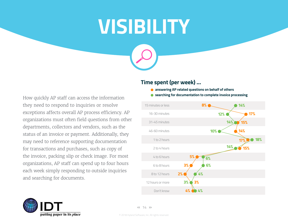### **VISIBILITY**

How quickly AP staff can access the information they need to respond to inquiries or resolve exceptions affects overall AP process efficiency. AP organizations must often field questions from other departments, collectors and vendors, such as the status of an invoice or payment. Additionally, they may need to reference supporting documentation for transactions and purchases, such as copy of the invoice, packing slip or check image. For most organizations, AP staff can spend up to four hours each week simply responding to outside inquiries and searching for documents.

#### **Time spent (per week) …**

- **answering AP related questions on behalf of others**
- **searching for documentation to complete invoice processing**





 $<< 14$  >>

© 2018 Hyland Software, Inc. All rights reserved.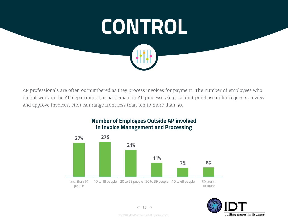<span id="page-14-0"></span>

AP professionals are often outnumbered as they process invoices for payment. The number of employees who do not work in the AP department but participate in AP processes (e.g. submit purchase order requests, review and approve invoices, etc.) can range from less than ten to more than 50.





 $< 15$  >>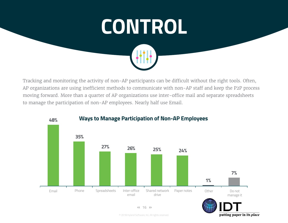

Tracking and monitoring the activity of non-AP participants can be difficult without the right tools. Often, AP organizations are using inefficient methods to communicate with non-AP staff and keep the P2P process moving forward. More than a quarter of AP organizations use inter-office mail and separate spreadsheets to manage the participation of non-AP employees. Nearly half use Email.



#### **Ways to Manage Participation of Non-AP Employees**

 $< 16$  >>

© 2018 Hyland Software, Inc. All rights reserved.

putting paper in its place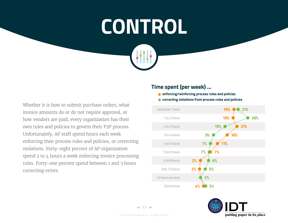### **CONTROL**

Whether it is how to submit purchase orders, what invoice amounts do or do not require approval, or how vendors are paid, every organization has their own rules and policies to govern their P2P process. Unfortunately, AP staff spend hours each week enforcing their process rules and policies, or correcting violations. Forty-eight percent of AP organization spend 2 to 4 hours a week enforcing invoice processing rules. Forty-one percent spend between 1 and 3 hours correcting errors.

#### **Time spent (per week) …**

- **enforcing/reinforcing process rules and policies**
- **correcting violations from process rules and policies**



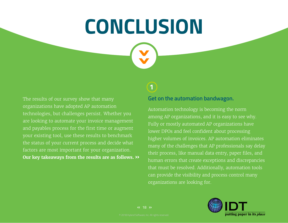### <span id="page-17-0"></span>**CONCLUSION**

The results of our survey show that many organizations have adopted AP automation technologies, but challenges persist. Whether you are looking to automate your invoice management and payables process for the first time or augment your existing tool, use these results to benchmark the status of your current process and decide what factors are most important for your organization. **Our key takeaways from the results are as follows. ››**

#### **1**

#### **Get on the automation bandwagon.**

Automation technology is becoming the norm among AP organizations, and it is easy to see why. Fully or mostly automated AP organizations have lower DPOs and feel confident about processing higher volumes of invoices. AP automation eliminates many of the challenges that AP professionals say delay their process, like manual data entry, paper files, and human errors that create exceptions and discrepancies that must be resolved. Additionally, automation tools can provide the visibility and process control many organizations are looking for.

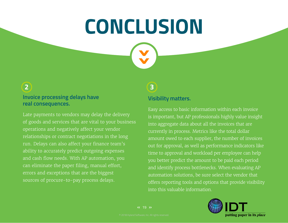### **CONCLUSION**

#### **Invoice processing delays have real consequences. 2**

Late payments to vendors may delay the delivery of goods and services that are vital to your business operations and negatively affect your vendor relationships or contract negotiations in the long run. Delays can also affect your finance team's ability to accurately predict outgoing expenses and cash flow needs. With AP automation, you can eliminate the paper filing, manual effort, errors and exceptions that are the biggest sources of procure-to-pay process delays.

#### **3**

#### **Visibility matters.**

Easy access to basic information within each invoice is important, but AP professionals highly value insight into aggregate data about all the invoices that are currently in process. Metrics like the total dollar amount owed to each supplier, the number of invoices out for approval, as well as performance indicators like time to approval and workload per employee can help you better predict the amount to be paid each period and identify process bottlenecks. When evaluating AP automation solutions, be sure select the vendor that offers reporting tools and options that provide visibility into this valuable information.



 $\leftarrow$  19  $\rightarrow$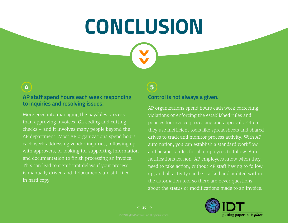### **CONCLUSION**

**AP staff spend hours each week responding to inquiries and resolving issues. 4 5**

More goes into managing the payables process than approving invoices, GL coding and cutting checks – and it involves many people beyond the AP department. Most AP organizations spend hours each week addressing vendor inquiries, following up with approvers, or looking for supporting information and documentation to finish processing an invoice. This can lead to significant delays if your process is manually driven and if documents are still filed in hard copy.

#### **Control is not always a given.**

AP organizations spend hours each week correcting violations or enforcing the established rules and policies for invoice processing and approvals. Often they use inefficient tools like spreadsheets and shared drives to track and monitor process activity. With AP automation, you can establish a standard workflow and business rules for all employees to follow. Auto notifications let non-AP employees know when they need to take action, without AP staff having to follow up, and all activity can be tracked and audited within the automation tool so there are never questions about the status or modifications made to an invoice.

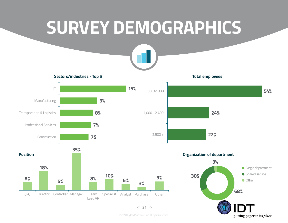### <span id="page-20-0"></span>**SURVEY DEMOGRAPHICS**



**15%**

**Sectors/industries - Top 5**





 $< 21$  >>

**Total employees**



**Organization of department**



© 2018 Hyland Software, Inc. All rights reserved.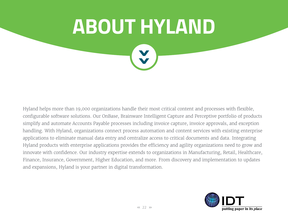**ABOUT HYLAND**

Hyland helps more than 19,000 organizations handle their most critical content and processes with flexible, configurable software solutions. Our OnBase, Brainware Intelligent Capture and Perceptive portfolio of products simplify and automate Accounts Payable processes including invoice capture, invoice approvals, and exception handling. With Hyland, organizations connect process automation and content services with existing enterprise applications to eliminate manual data entry and centralize access to critical documents and data. Integrating Hyland products with enterprise applications provides the efficiency and agility organizations need to grow and innovate with confidence. Our industry expertise extends to organizations in Manufacturing, Retail, Healthcare, Finance, Insurance, Government, Higher Education, and more. From discovery and implementation to updates and expansions, Hyland is your partner in digital transformation.